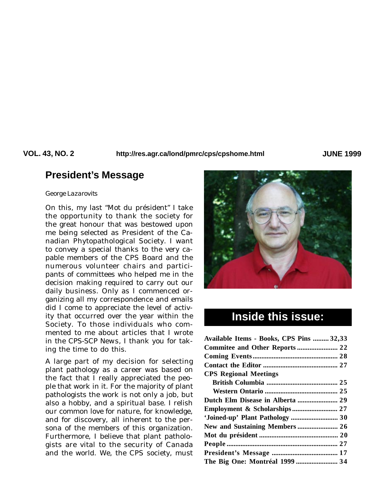**VOL. 43, NO. 2 JUNE 1999 http://res.agr.ca/lond/pmrc/cps/cpshome.html**

# **President's Message**

#### *George Lazarovits*

On this, my last "Mot du président" I take the opportunity to thank the society for the great honour that was bestowed upon me being selected as President of the Canadian Phytopathological Society. I want to convey a special thanks to the very capable members of the CPS Board and the numerous volunteer chairs and participants of committees who helped me in the decision making required to carry out our daily business. Only as I commenced organizing all my correspondence and emails did I come to appreciate the level of activity that occurred over the year within the Society. To those individuals who commented to me about articles that I wrote in the *CPS-SCP News*, I thank you for taking the time to do this.

A large part of my decision for selecting plant pathology as a career was based on the fact that I really appreciated the people that work in it. For the majority of plant pathologists the work is not only a job, but also a hobby, and a spiritual base. I relish our common love for nature, for knowledge, and for discovery, all inherent to the persona of the members of this organization. Furthermore, I believe that plant pathologists are vital to the security of Canada and the world. We, the CPS society, must



# **Inside this issue:**

| Available Items - Books, CPS Pins  32,33 |
|------------------------------------------|
|                                          |
|                                          |
|                                          |
|                                          |
|                                          |
|                                          |
|                                          |
|                                          |
| 'Joined-up' Plant Pathology  30          |
|                                          |
|                                          |
|                                          |
|                                          |
|                                          |
|                                          |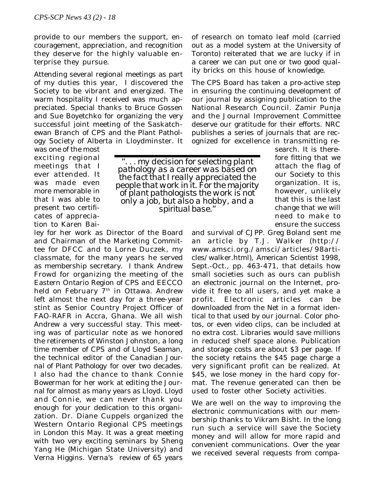provide to our members the support, encouragement, appreciation, and recognition they deserve for the highly valuable enterprise they pursue.

Attending several regional meetings as part of my duties this year, I discovered the Society to be vibrant and energized. The warm hospitality I received was much appreciated. Special thanks to Bruce Gossen and Sue Boyetchko for organizing the very successful joint meeting of the Saskatchewan Branch of CPS and the Plant Pathology Society of Alberta in Lloydminster. It

was one of the most exciting regional meetings that I ever attended. It was made even more memorable in that I was able to present two certificates of appreciation to Karen Bai-

ley for her work as Director of the Board and Chairman of the Marketing Committee for DFCC and to Lorne Duczek, my classmate, for the many years he served as membership secretary. I thank Andrew Frowd for organizing the meeting of the Eastern Ontario Region of CPS and EECCO held on February 7<sup>th</sup> in Ottawa. Andrew left almost the next day for a three-year stint as Senior Country Project Officer of FAO-RAFR in Accra, Ghana. We all wish Andrew a very successful stay. This meeting was of particular note as we honored the retirements of Winston Johnston, a long time member of CPS and of Lloyd Seaman, the technical editor of the *Canadian Journal of Plant Pathology* for over two decades. I also had the chance to thank Connie Bowerman for her work at editing the Journal for almost as many years as Lloyd. Lloyd and Connie, we can never thank you enough for your dedication to this organization. Dr. Diane Cuppels organized the Western Ontario Regional CPS meetings in London this May. It was a great meeting with two very exciting seminars by Sheng Yang He (Michigan State University) and Verna Higgins. Verna's review of 65 years of research on tomato leaf mold (carried out as a model system at the University of Toronto) reiterated that we are lucky if in a career we can put one or two good quality bricks on this house of knowledge.

The CPS Board has taken a pro-active step in ensuring the continuing development of our journal by assigning publication to the National Research Council. Zamir Punja and the Journal Improvement Committee deserve our gratitude for their efforts. NRC publishes a series of journals that are recognized for excellence in transmitting re-

*". . . my decision for selecting plant pathology as a career was based on the fact that I really appreciated the people that work in it. For the majority of plant pathologists the work is not only a job, but also a hobby, and a spiritual base."*

search. It is therefore fitting that we attach the flag of our Society to this organization. It is, however, unlikely that this is the last change that we will need to make to ensure the success

and survival of *CJPP*. Greg Boland sent me an article by T.J. Walker (http:// www.amsci.org./amsci/articles/98articles/walker.html), *American Scientist* 1998, Sept.-Oct., pp. 463-471, that details how small societies such as ours can publish an electronic journal on the Internet, provide it free to all users, and yet make a profit. Electronic articles can be downloaded from the Net in a format identical to that used by our journal. Color photos, or even video clips, can be included at no extra cost. Libraries would save millions in reduced shelf space alone. Publication and storage costs are about \$3 per page. If the society retains the \$45 page charge a very significant profit can be realized. At \$45, we lose money in the hard copy format. The revenue generated can then be used to foster other Society activities.

We are well on the way to improving the electronic communications with our membership thanks to Vikram Bisht. In the long run such a service will save the Society money and will allow for more rapid and convenient communications. Over the year we received several requests from compa-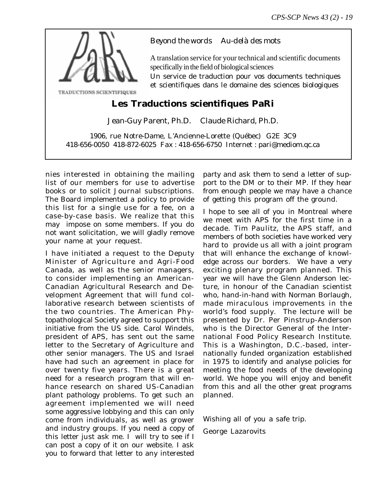

## *Beyond the words Au-delà des mots*

A translation service for your technical and scientific documents specifically in the field of biological sciences

Un service de traduction pour vos documents techniques et scientifiques dans le domaine des sciences biologiques

# **Les Traductions scientifiques PaRi**

Jean-Guy Parent, Ph.D. Claude Richard, Ph.D.

1906, rue Notre-Dame, L'Ancienne-Lorette (Québec) G2E 3C9 418-656-0050 418-872-6025 Fax : 418-656-6750 Internet : pari@mediom.qc.ca

nies interested in obtaining the mailing list of our members for use to advertise books or to solicit Journal subscriptions. The Board implemented a policy to provide this list for a single use for a fee, on a case-by-case basis. We realize that this may impose on some members. If you do not want solicitation, we will gladly remove your name at your request.

I have initiated a request to the Deputy Minister of Agriculture and Agri-Food Canada, as well as the senior managers, to consider implementing an American-Canadian Agricultural Research and Development Agreement that will fund collaborative research between scientists of the two countries. The American Phytopathological Society agreed to support this initiative from the US side. Carol Windels, president of APS, has sent out the same letter to the Secretary of Agriculture and other senior managers. The US and Israel have had such an agreement in place for over twenty five years. There is a great need for a research program that will enhance research on shared US-Canadian plant pathology problems. To get such an agreement implemented we will need some aggressive lobbying and this can only come from individuals, as well as grower and industry groups. If you need a copy of this letter just ask me. I will try to see if I can post a copy of it on our website. I ask you to forward that letter to any interested

party and ask them to send a letter of support to the DM or to their MP. If they hear from enough people we may have a chance of getting this program off the ground.

I hope to see all of you in Montreal where we meet with APS for the first time in a decade. Tim Paulitz, the APS staff, and members of both societies have worked very hard to provide us all with a joint program that will enhance the exchange of knowledge across our borders. We have a very exciting plenary program planned. This year we will have the Glenn Anderson lecture, in honour of the Canadian scientist who, hand-in-hand with Norman Borlaugh, made miraculous improvements in the world's food supply. The lecture will be presented by Dr. Per Pinstrup-Anderson who is the Director General of the International Food Policy Research Institute. This is a Washington, D.C.-based, internationally funded organization established in 1975 to identify and analyse policies for meeting the food needs of the developing world. We hope you will enjoy and benefit from this and all the other great programs planned.

Wishing all of you a safe trip.

George Lazarovits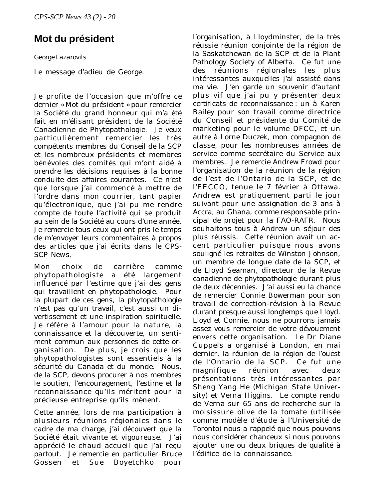# **Mot du président**

### *George Lazarovits*

Le message d'adieu de George.

Je profite de l'occasion que m'offre ce dernier « Mot du président » pour remercier la Société du grand honneur qui m'a été fait en m'élisant président de la Société Canadienne de Phytopathologie. Je veux particulièrement remercier les très compétents membres du Conseil de la SCP et les nombreux présidents et membres bénévoles des comités qui m'ont aidé à prendre les décisions requises à la bonne conduite des affaires courantes. Ce n'est que lorsque j'ai commencé à mettre de l'ordre dans mon courrier, tant papier qu'électronique, que j'ai pu me rendre compte de toute l'activité qui se produit au sein de la Société au cours d'une année. Je remercie tous ceux qui ont pris le temps de m'envoyer leurs commentaires à propos des articles que j'ai écrits dans le *CPS-SCP News*.

Mon choix de carrière comme phytopathologiste a été largement influencé par l'estime que j'ai des gens qui travaillent en phytopathologie. Pour la plupart de ces gens, la phytopathologie n'est pas qu'un travail, c'est aussi un divertissement et une inspiration spirituelle. Je réfère à l'amour pour la nature, la connaissance et la découverte, un sentiment commun aux personnes de cette organisation. De plus, je crois que les phytopathologistes sont essentiels à la sécurité du Canada et du monde. Nous, de la SCP, devons procurer à nos membres le soutien, l'encouragement, l'estime et la reconnaissance qu'ils méritent pour la précieuse entreprise qu'ils mènent.

Cette année, lors de ma participation à plusieurs réunions régionales dans le cadre de ma charge, j'ai découvert que la Société était vivante et vigoureuse. J'ai apprécié le chaud accueil que j'ai reçu partout. Je remercie en particulier Bruce Gossen et Sue Boyetchko pour l'organisation, à Lloydminster, de la très réussie réunion conjointe de la région de la Saskatchewan de la SCP et de la Plant Pathology Society of Alberta. Ce fut une des réunions régionales les plus intéressantes auxquelles j'ai assisté dans ma vie. J'en garde un souvenir d'autant plus vif que j'ai pu y présenter deux certificats de reconnaissance : un à Karen Bailey pour son travail comme directrice du Conseil et présidente du Comité de marketing pour le volume DFCC, et un autre à Lorne Duczek, mon compagnon de classe, pour les nombreuses années de service comme secrétaire du Service aux membres. Je remercie Andrew Frowd pour l'organisation de la réunion de la région de l'est de l'Ontario de la SCP, et de l'EECCO, tenue le 7 février à Ottawa. Andrew est pratiquement parti le jour suivant pour une assignation de 3 ans à Accra, au Ghana, comme responsable principal de projet pour la FAO-RAFR. Nous souhaitons tous à Andrew un séjour des plus réussis. Cette réunion avait un accent particulier puisque nous avons souligné les retraites de Winston Johnson, un membre de longue date de la SCP, et de Lloyd Seaman, directeur de la *Revue canadienne de phytopathologie* durant plus de deux décennies. J'ai aussi eu la chance de remercier Connie Bowerman pour son travail de correction-révision à la Revue durant presque aussi longtemps que Lloyd. Lloyd et Connie, nous ne pourrons jamais assez vous remercier de votre dévouement envers cette organisation. Le Dr Diane Cuppels a organisé à London, en mai dernier, la réunion de la région de l'ouest de l'Ontario de la SCP. Ce fut une magnifique réunion avec deux présentations très intéressantes par Sheng Yang He (Michigan State University) et Verna Higgins. Le compte rendu de Verna sur 65 ans de recherche sur la moisissure olive de la tomate (utilisée comme modèle d'étude à l'Université de Toronto) nous a rappelé que nous pouvons nous considérer chanceux si nous pouvons ajouter une ou deux briques de qualité à l'édifice de la connaissance.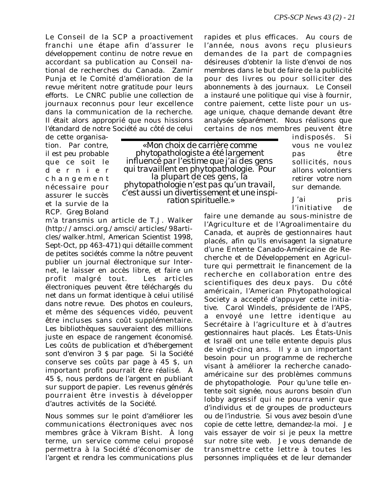Le Conseil de la SCP a proactivement franchi une étape afin d'assurer le développement continu de notre revue en accordant sa publication au Conseil national de recherches du Canada. Zamir Punja et le Comité d'amélioration de la revue méritent notre gratitude pour leurs efforts. Le CNRC publie une collection de journaux reconnus pour leur excellence dans la communication de la recherche. Il était alors approprié que nous hissions l'étandard de notre Société au côté de celui

rapides et plus efficaces. Au cours de l'année, nous avons reçu plusieurs demandes de la part de compagnies désireuses d'obtenir la liste d'envoi de nos membres dans le but de faire de la publicité pour des livres ou pour solliciter des abonnements à des journaux. Le Conseil a instauré une politique qui vise à fournir, contre paiement, cette liste pour un usage unique, chaque demande devant être analysée séparément. Nous réalisons que certains de nos membres peuvent être

de cette organisation. Par contre, il est peu probable que ce soit le dernier changement nécessaire pour assurer le succès et la survie de la RCP. Greg Boland

*« Mon choix de carrière comme phytopathologiste a été largement influencé par l'estime que j'ai des gens qui travaillent en phytopathologie. Pour la plupart de ces gens, la phytopathologie n'est pas qu'un travail, c'est aussi un divertissement et une inspi- ration spirituelle.»*

m'a transmis un article de T.J. Walker (http://amsci.org./amsci/articles/98articles/walker.html, *American Scientist* 1998, Sept-Oct, pp 463-471) qui détaille comment de petites sociétés comme la nôtre peuvent publier un journal électronique sur Internet, le laisser en accès libre, et faire un profit malgré tout. Les articles électroniques peuvent être téléchargés du net dans un format identique à celui utilisé dans notre revue. Des photos en couleurs, et même des séquences vidéo, peuvent être incluses sans coût supplémentaire. Les bibliothèques sauveraient des millions juste en espace de rangement économisé. Les coûts de publication et d'hébergement sont d'environ 3 \$ par page. Si la Société conserve ses coûts par page à 45 \$, un important profit pourrait être réalisé. À 45 \$, nous perdons de l'argent en publiant sur support de papier. Les revenus générés pourraient être investis à développer d'autres activités de la Société.

Nous sommes sur le point d'améliorer les communications électroniques avec nos membres grâce à Vikram Bisht. À long terme, un service comme celui proposé permettra à la Société d'économiser de l'argent et rendra les communications plus

indisposés. Si vous ne voulez pas être sollicités, nous allons volontiers retirer votre nom sur demande.

J'ai pris l'initiative de

faire une demande au sous-ministre de l'Agriculture et de l'Agroalimentaire du Canada, et auprès de gestionnaires haut placés, afin qu'ils envisagent la signature d'une Entente Canado-Américaine de Recherche et de Développement en Agriculture qui permettrait le financement de la recherche en collaboration entre des scientifiques des deux pays. Du côté américain, l'American Phytopathological Society a accepté d'appuyer cette initiative. Carol Windels, présidente de l'APS, a envoyé une lettre identique au Secrétaire à l'agriculture et à d'autres gestionnaires haut placés. Les États-Unis et Israël ont une telle entente depuis plus de vingt-cinq ans. Il y a un important besoin pour un programme de recherche visant à améliorer la recherche canadoaméricaine sur des problèmes communs de phytopathologie. Pour qu'une telle entente soit signée, nous aurons besoin d'un lobby agressif qui ne pourra venir que d'individus et de groupes de producteurs ou de l'industrie. Si vous avez besoin d'une copie de cette lettre, demandez-la moi. Je vais essayer de voir si je peux la mettre sur notre site web. Je vous demande de transmettre cette lettre à toutes les personnes impliquées et de leur demander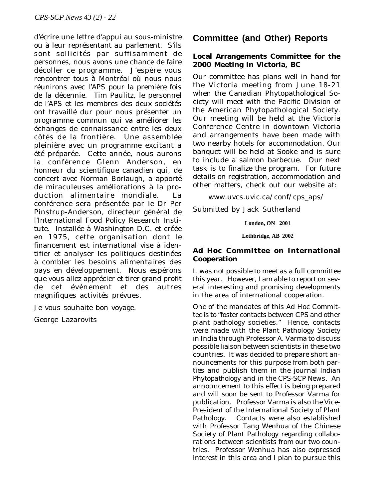d'écrire une lettre d'appui au sous-ministre ou à leur représentant au parlement. S'ils sont sollicités par suffisamment de personnes, nous avons une chance de faire décoller ce programme. J'espère vous rencontrer tous à Montréal où nous nous réunirons avec l'APS pour la première fois de la décennie. Tim Paulitz, le personnel de l'APS et les membres des deux sociétés ont travaillé dur pour nous présenter un programme commun qui va améliorer les échanges de connaissance entre les deux côtés de la frontière. Une assemblée pleinière avec un programme excitant a été préparée. Cette année, nous aurons la conférence Glenn Anderson, en honneur du scientifique canadien qui, de concert avec Norman Borlaugh, a apporté de miraculeuses améliorations à la production alimentaire mondiale. La conférence sera présentée par le Dr Per Pinstrup-Anderson, directeur général de l'International Food Policy Research Institute. Installée à Washington D.C. et créée en 1975, cette organisation dont le financement est international vise à identifier et analyser les politiques destinées à combler les besoins alimentaires des pays en développement. Nous espérons que vous allez apprécier et tirer grand profit de cet événement et des autres magnifiques activités prévues.

Je vous souhaite bon voyage.

George Lazarovits

# **Committee (and Other) Reports**

#### **Local Arrangements Committee for the 2000 Meeting in Victoria, BC**

Our committee has plans well in hand for the Victoria meeting from June 18-21 when the Canadian Phytopathological Society will meet with the Pacific Division of the American Phytopathological Society. Our meeting will be held at the Victoria Conference Centre in downtown Victoria and arrangements have been made with two nearby hotels for accommodation. Our banquet will be held at Sooke and is sure to include a salmon barbecue. Our next task is to finalize the program. For future details on registration, accommodation and other matters, check out our website at:

www.uvcs.uvic.ca/conf/cps\_aps/

Submitted by Jack Sutherland

**London, ON 2001**

**Lethbridge, AB 2002**

#### **Ad Hoc Committee on International Cooperation**

It was not possible to meet as a full committee this year. However, I am able to report on several interesting and promising developments in the area of international cooperation.

One of the mandates of this Ad Hoc Committee is to "foster contacts between CPS and other plant pathology societies." Hence, contacts were made with the Plant Pathology Society in India through Professor A. Varma to discuss possible liaison between scientists in these two countries. It was decided to prepare short announcements for this purpose from both parties and publish them in the journal *Indian Phytopathology* and in the *CPS-SCP News*. An announcement to this effect is being prepared and will soon be sent to Professor Varma for publication. Professor Varma is also the Vice-President of the International Society of Plant Pathology. Contacts were also established with Professor Tang Wenhua of the Chinese Society of Plant Pathology regarding collaborations between scientists from our two countries. Professor Wenhua has also expressed interest in this area and I plan to pursue this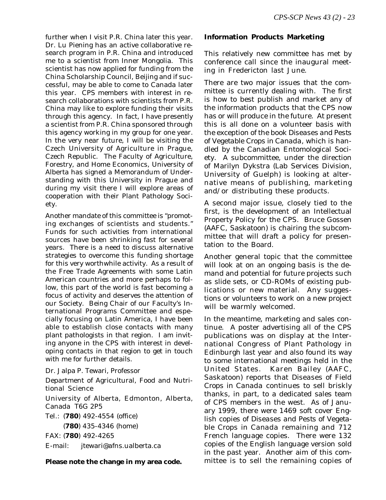further when I visit P.R. China later this year. Dr. Lu Piening has an active collaborative research program in P.R. China and introduced me to a scientist from Inner Mongolia. This scientist has now applied for funding from the China Scholarship Council, Beijing and if successful, may be able to come to Canada later this year. CPS members with interest in research collaborations with scientists from P.R. China may like to explore funding their visits through this agency. In fact, I have presently a scientist from P.R. China sponsored through this agency working in my group for one year. In the very near future, I will be visiting the Czech University of Agriculture in Prague, Czech Republic. The Faculty of Agriculture, Forestry, and Home Economics, University of Alberta has signed a Memorandum of Understanding with this University in Prague and during my visit there I will explore areas of cooperation with their Plant Pathology Society.

Another mandate of this committee is "promoting exchanges of scientists and students." Funds for such activities from international sources have been shrinking fast for several years. There is a need to discuss alternative strategies to overcome this funding shortage for this very worthwhile activity. As a result of the Free Trade Agreements with some Latin American countries and more perhaps to follow, this part of the world is fast becoming a focus of activity and deserves the attention of our Society. Being Chair of our Faculty's International Programs Committee and especially focusing on Latin America, I have been able to establish close contacts with many plant pathologists in that region. I am inviting anyone in the CPS with interest in developing contacts in that region to get in touch with me for further details.

Dr. Jalpa P. Tewari, Professor Department of Agricultural, Food and Nutritional Science University of Alberta, Edmonton, Alberta, Canada T6G 2P5 Tel.: (**780**) 492-4554 (office) (**780**) 435-4346 (home) FAX: (**780**) 492-4265 E-mail: jtewari@afns.ualberta.ca

#### **Please note the change in my area code.**

#### **Information Products Marketing**

This relatively new committee has met by conference call since the inaugural meeting in Fredericton last June.

There are two major issues that the committee is currently dealing with. The first is how to best publish and market any of the information products that the CPS now has or will produce in the future. At present this is all done on a volunteer basis with the exception of the book *Diseases and Pests of Vegetable Crops in Canada*, which is handled by the Canadian Entomological Society. A subcommittee, under the direction of Marilyn Dykstra (Lab Services Division, University of Guelph) is looking at alternative means of publishing, marketing and/or distributing these products.

A second major issue, closely tied to the first, is the development of an Intellectual Property Policy for the CPS. Bruce Gossen (AAFC, Saskatoon) is chairing the subcommittee that will draft a policy for presentation to the Board.

Another general topic that the committee will look at on an ongoing basis is the demand and potential for future projects such as slide sets, or CD-ROMs of existing publications or new material. Any suggestions or volunteers to work on a new project will be warmly welcomed.

In the meantime, marketing and sales continue. A poster advertising all of the CPS publications was on display at the International Congress of Plant Pathology in Edinburgh last year and also found its way to some international meetings held in the United States. Karen Bailey (AAFC, Saskatoon) reports that *Diseases of Field Crops in Canada* continues to sell briskly thanks, in part, to a dedicated sales team of CPS members in the west. As of January 1999, there were 1469 soft cover English copies of *Diseases and Pests of Vegetable Crops in Canada* remaining and 712 French language copies. There were 132 copies of the English language version sold in the past year. Another aim of this committee is to sell the remaining copies of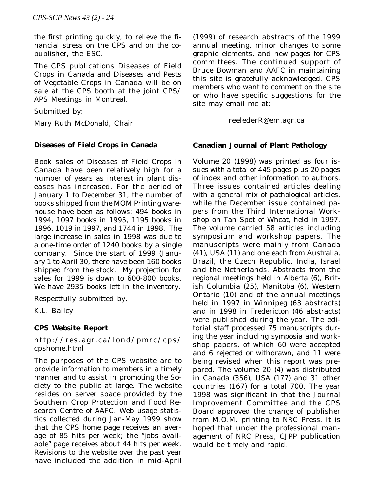the first printing quickly, to relieve the financial stress on the CPS and on the copublisher, the ESC.

The CPS publications Diseases of Field Crops in Canada and Diseases and Pests of Vegetable Crops in Canada will be on sale at the CPS booth at the joint CPS/ APS Meetings in Montreal.

Submitted by:

Mary Ruth McDonald, Chair

#### **Diseases of Field Crops in Canada**

Book sales of *Diseases of Field Crops in Canada* have been relatively high for a number of years as interest in plant diseases has increased. For the period of January 1 to December 31, the number of books shipped from the MOM Printing warehouse have been as follows: 494 books in 1994, 1097 books in 1995, 1195 books in 1996, 1019 in 1997, and 1744 in 1998. The large increase in sales in 1998 was due to a one-time order of 1240 books by a single company. Since the start of 1999 (January 1 to April 30, there have been 160 books shipped from the stock. My projection for sales for 1999 is down to 600-800 books. We have 2935 books left in the inventory.

Respectfully submitted by,

K.L. Bailey

#### **CPS Website Report**

http://res.agr.ca/lond/pmrc/cps/ cpshome.html

The purposes of the CPS website are to provide information to members in a timely manner and to assist in promoting the Society to the public at large. The website resides on server space provided by the Southern Crop Protection and Food Research Centre of AAFC. Web usage statistics collected during Jan-May 1999 show that the CPS home page receives an average of 85 hits per week; the "jobs available" page receives about 44 hits per week. Revisions to the website over the past year have included the addition in mid-April

(1999) of research abstracts of the 1999 annual meeting, minor changes to some graphic elements, and new pages for CPS committees. The continued support of Bruce Bowman and AAFC in maintaining this site is gratefully acknowledged. CPS members who want to comment on the site or who have specific suggestions for the site may email me at:

reelederR@em.agr.ca

#### **Canadian Journal of Plant Pathology**

Volume 20 (1998) was printed as four issues with a total of 445 pages plus 20 pages of index and other information to authors. Three issues contained articles dealing with a general mix of pathological articles, while the December issue contained papers from the Third International Workshop on Tan Spot of Wheat, held in 1997. The volume carried 58 articles including symposium and workshop papers. The manuscripts were mainly from Canada (41), USA (11) and one each from Australia, Brazil, the Czech Republic, India, Israel and the Netherlands. Abstracts from the regional meetings held in Alberta (6), British Columbia (25), Manitoba (6), Western Ontario (10) and of the annual meetings held in 1997 in Winnipeg (63 abstracts) and in 1998 in Fredericton (46 abstracts) were published during the year. The editorial staff processed 75 manuscripts during the year including symposia and workshop papers, of which 60 were accepted and 6 rejected or withdrawn, and 11 were being revised when this report was prepared. The volume 20 (4) was distributed in Canada (356), USA (177) and 31 other countries (167) for a total 700. The year 1998 was significant in that the Journal Improvement Committee and the CPS Board approved the change of publisher from M.O.M. printing to NRC Press. It is hoped that under the professional management of NRC Press, *CJPP* publication would be timely and rapid.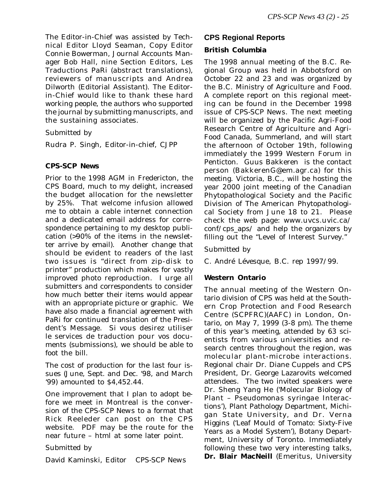The Editor-in-Chief was assisted by Technical Editor Lloyd Seaman, Copy Editor Connie Bowerman, Journal Accounts Manager Bob Hall, nine Section Editors, Les Traductions PaRi (abstract translations), reviewers of manuscripts and Andrea Dilworth (Editorial Assistant). The Editorin-Chief would like to thank these hard working people, the authors who supported the journal by submitting manuscripts, and the sustaining associates.

Submitted by

Rudra P. Singh, Editor-in-chief, *CJPP*

#### **CPS-SCP News**

Prior to the 1998 AGM in Fredericton, the CPS Board, much to my delight, increased the budget allocation for the newsletter by 25%. That welcome infusion allowed me to obtain a cable internet connection and a dedicated email address for correspondence pertaining to my desktop publication (>90% of the items in the newsletter arrive by email). Another change that should be evident to readers of the last two issues is "direct from zip-disk to printer" production which makes for vastly improved photo reproduction. I urge all submitters and correspondents to consider how much better their items would appear with an appropriate picture or graphic. We have also made a financial agreement with PaRi for continued translation of the President's Message. Si vous desirez utiliser le services de traduction pour vos documents (submissions), we should be able to foot the bill.

The cost of production for the last four issues (June, Sept. and Dec. '98, and March '99) amounted to \$4,452.44.

One improvement that I plan to adopt before we meet in Montreal is the conversion of the *CPS-SCP News* to a format that Rick Reeleder can post on the CPS website. PDF may be the route for the near future – html at some later point.

Submitted by

David Kaminski, Editor *CPS-SCP News*

### **CPS Regional Reports**

### **British Columbia**

The 1998 annual meeting of the B.C. Regional Group was held in Abbotsford on October 22 and 23 and was organized by the B.C. Ministry of Agriculture and Food. A complete report on this regional meeting can be found in the December 1998 issue of *CPS-SCP News*. The next meeting will be organized by the Pacific Agri-Food Research Centre of Agriculture and Agri-Food Canada, Summerland, and will start the afternoon of October 19th, following immediately the 1999 Western Forum in Penticton. Guus Bakkeren is the contact person (BakkerenG@em.agr.ca) for this meeting. Victoria, B.C., will be hosting the year 2000 joint meeting of the Canadian Phytopathological Society and the Pacific Division of The American Phytopathological Society from June 18 to 21. Please check the web page: www.uvcs.uvic.ca/ conf/cps\_aps/ and help the organizers by filling out the "Level of Interest Survey."

Submitted by

C. André Lévesque, B.C. rep 1997/99.

#### **Western Ontario**

The annual meeting of the Western Ontario division of CPS was held at the Southern Crop Protection and Food Research Centre (SCPFRC)(AAFC) in London, Ontario, on May 7, 1999 (3-8 pm). The theme of this year's meeting, attended by 63 scientists from various universities and research centres throughout the region, was molecular plant-microbe interactions. Regional chair Dr. Diane Cuppels and CPS President, Dr. George Lazarovits welcomed attendees. The two invited speakers were Dr. Sheng Yang He ('Molecular Biology of Plant – *Pseudomonas syringae* Interactions'), Plant Pathology Department, Michigan State University, and Dr. Verna Higgins ('Leaf Mould of Tomato: Sixty-Five Years as a Model System'), Botany Department, University of Toronto. Immediately following these two very interesting talks, **Dr. Blair MacNeill** (Emeritus, University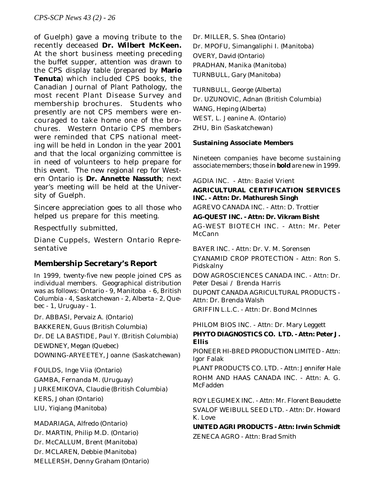of Guelph) gave a moving tribute to the recently deceased **Dr. Wilbert McKeen.** At the short business meeting preceding the buffet supper, attention was drawn to the CPS display table (prepared by **Mario Tenuta**) which included CPS books, the Canadian Journal of Plant Pathology, the most recent Plant Disease Survey and membership brochures. Students who presently are not CPS members were encouraged to take home one of the brochures. Western Ontario CPS members were reminded that CPS national meeting will be held in London in the year 2001 and that the local organizing committee is in need of volunteers to help prepare for this event. The new regional rep for Western Ontario is **Dr. Annette Nassuth**; next year's meeting will be held at the University of Guelph.

Sincere appreciation goes to all those who helped us prepare for this meeting.

Respectfully submitted,

Diane Cuppels, Western Ontario Representative

# **Membership Secretary's Report**

In 1999, twenty-five new people joined CPS as individual members. Geographical distribution was as follows: Ontario - 9, Manitoba - 6, British Columbia - 4, Saskatchewan - 2, Alberta - 2, Quebec - 1, Uruguay - 1.

Dr. ABBASI, Pervaiz A. (Ontario)

BAKKEREN, Guus (British Columbia)

Dr. DE LA BASTIDE, Paul Y. (British Columbia)

DEWDNEY, Megan (Quebec)

DOWNING-ARYEETEY, Joanne (Saskatchewan)

FOULDS, Inge Viia (Ontario) GAMBA, Fernanda M. (Uruguay) JURKEMIKOVA, Claudie (British Columbia) KERS, Johan (Ontario) LIU, Yiqiang (Manitoba)

MADARIAGA, Alfredo (Ontario) Dr. MARTIN, Philip M.D. (Ontario) Dr. McCALLUM, Brent (Manitoba) Dr. MCLAREN, Debbie (Manitoba) MELLERSH, Denny Graham (Ontario) Dr. MILLER, S. Shea (Ontario) Dr. MPOFU, Simangaliphi I. (Manitoba) OVERY, David (Ontario) PRADHAN, Manika (Manitoba) TURNBULL, Gary (Manitoba)

TURNBULL, George (Alberta) Dr. UZUNOVIC, Adnan (British Columbia) WANG, Heping (Alberta) WEST, L. Jeanine A. (Ontario) ZHU, Bin (Saskatchewan)

#### **Sustaining Associate Members**

Nineteen companies have become sustaining associate members; *those in* **bold** *are new in 1999*.

AGDIA INC. - Attn: Baziel Vrient

#### **AGRICULTURAL CERTIFICATION SERVICES INC. - Attn: Dr. Mathuresh Singh**

AGREVO CANADA INC. - Attn: D. Trottier

**AG-QUEST INC. - Attn: Dr. Vikram Bisht**

AG-WEST BIOTECH INC. - Attn: Mr. Peter McCann

BAYER INC. - Attn: Dr. V. M. Sorensen

CYANAMID CROP PROTECTION - Attn: Ron S. Pidskalny

DOW AGROSCIENCES CANADA INC. - Attn: Dr. Peter Desai / Brenda Harris DUPONT CANADA AGRICULTURAL PRODUCTS -

Attn: Dr. Brenda Walsh

GRIFFIN L.L.C. - Attn: Dr. Bond McInnes

PHILOM BIOS INC. - Attn: Dr. Mary Leggett **PHYTO DIAGNOSTICS CO. LTD. - Attn: Peter J. Ellis**

PIONEER HI-BRED PRODUCTION LIMITED - Attn: Igor Falak

PLANT PRODUCTS CO. LTD. - Attn: Jennifer Hale ROHM AND HAAS CANADA INC. - Attn: A. G. **McFadden** 

ROY LEGUMEX INC. - Attn: Mr. Florent Beaudette SVALOF WEIBULL SEED LTD. - Attn: Dr. Howard K. Love

**UNITED AGRI PRODUCTS - Attn: Irwin Schmidt** ZENECA AGRO - Attn: Brad Smith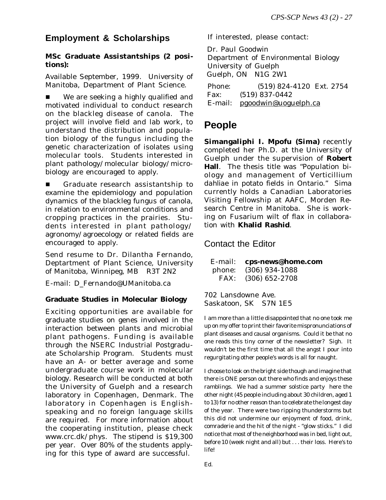# **Employment & Scholarships**

### **MSc Graduate Assistantships (2 positions):**

Available September, 1999. University of Manitoba, Department of Plant Science.

■ We are seeking a highly qualified and motivated individual to conduct research on the blackleg disease of canola. The project will involve field and lab work, to understand the distribution and population biology of the fungus including the genetic characterization of isolates using molecular tools. Students interested in plant pathology/molecular biology/microbiology are encouraged to apply.

Graduate research assistantship to examine the epidemiology and population dynamics of the blackleg fungus of canola, in relation to environmental conditions and cropping practices in the prairies. Students interested in plant pathology/ agronomy/agroecology or related fields are encouraged to apply.

Send resume to Dr. Dilantha Fernando, Deptartment of Plant Science, University of Manitoba, Winnipeg, MB R3T 2N2

E-mail: D\_Fernando@UManitoba.ca

#### **Graduate Studies in Molecular Biology**

Exciting opportunities are available for graduate studies on genes involved in the interaction between plants and microbial plant pathogens. Funding is available through the NSERC Industrial Postgraduate Scholarship Program. Students must have an A- or better average and some undergraduate course work in molecular biology. Research will be conducted at both the University of Guelph and a research laboratory in Copenhagen, Denmark. The laboratory in Copenhagen is Englishspeaking and no foreign language skills are required. For more information about the cooperating institution, please check www.crc.dk/phys. The stipend is \$19,300 per year. Over 80% of the students applying for this type of award are successful.

If interested, please contact:

 Dr. Paul Goodwin Department of Environmental Biology University of Guelph Guelph, ON N1G 2W1 Phone: (519) 824-4120 Ext. 2754 Fax: (519) 837-0442 E-mail: pgoodwin@uoguelph.ca

# **People**

**Simangaliphi I. Mpofu (Sima)** recently completed her Ph.D. at the University of Guelph under the supervision of **Robert Hall**. The thesis title was "Population biology and management of *Verticillium dahliae* in potato fields in Ontario." Sima currently holds a Canadian Laboratories Visiting Fellowship at AAFC, Morden Research Centre in Manitoba. She is working on Fusarium wilt of flax in collaboration with **Khalid Rashid**.

## Contact the Editor

| E-mail: | cps-news@home.com |
|---------|-------------------|
| phone:  | $(306)$ 934-1088  |
| FAX:    | $(306)$ 652-2708  |

702 Lansdowne Ave. Saskatoon, SK S7N 1E5

I am more than a little disappointed that no one took me up on my offer to print their favorite mispronunciations of plant diseases and causal organisms. Could it be that no one reads this tiny corner of the newsletter? Sigh. It wouldn't be the first time that all the angst I pour into regurgitating other people's words is all for naught.

I choose to look on the bright side though and imagine that there is ONE person out there who finds and enjoys these ramblings. We had a summer solstice party here the other night (45 people including about 30 children, aged 1 to 13) for no other reason than to celebrate the longest day of the year. There were two ripping thunderstorms but this did not undermine our enjoyment of food, drink, comraderie and the hit of the night - "glow sticks." I did notice that most of the neighborhood was in bed, light out, before 10 (week night and all) but . . . their loss. Here's to life!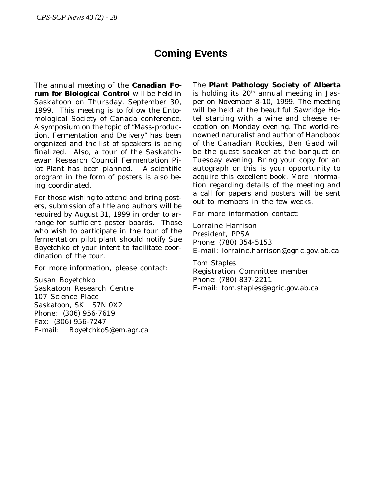# **Coming Events**

The annual meeting of the **Canadian Forum for Biological Control** will be held in Saskatoon on Thursday, September 30, 1999. This meeting is to follow the Entomological Society of Canada conference. A symposium on the topic of "Mass-production, Fermentation and Delivery" has been organized and the list of speakers is being finalized. Also, a tour of the Saskatchewan Research Council Fermentation Pilot Plant has been planned. A scientific program in the form of posters is also being coordinated.

For those wishing to attend and bring posters, *submission of a title and authors will be required by August 31, 1999* in order to arrange for sufficient poster boards. Those who wish to participate in the tour of the fermentation pilot plant should notify Sue Boyetchko of your intent to facilitate coordination of the tour.

For more information, please contact:

Susan Boyetchko Saskatoon Research Centre 107 Science Place Saskatoon, SK S7N 0X2 Phone: (306) 956-7619 Fax: (306) 956-7247 E-mail: BoyetchkoS@em.agr.ca The **Plant Pathology Society of Alberta** is holding its  $20<sup>th</sup>$  annual meeting in Jasper on November 8-10, 1999. The meeting will be held at the beautiful Sawridge Hotel starting with a wine and cheese reception on Monday evening. The world-renowned naturalist and author of Handbook of the Canadian Rockies, Ben Gadd will be the guest speaker at the banquet on Tuesday evening. Bring your copy for an autograph or this is your opportunity to acquire this excellent book. More information regarding details of the meeting and a call for papers and posters will be sent out to members in the few weeks.

For more information contact:

Lorraine Harrison President, PPSA Phone: (780) 354-5153 E-mail: lorraine.harrison@agric.gov.ab.ca

Tom Staples Registration Committee member Phone: (780) 837-2211 E-mail: tom.staples@agric.gov.ab.ca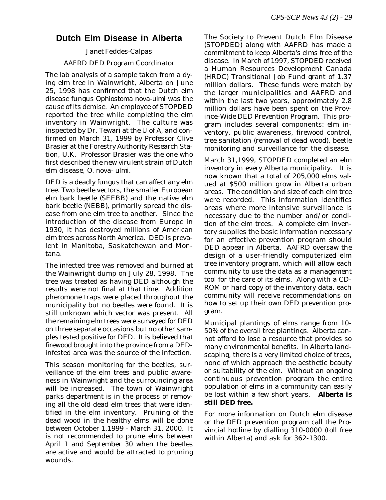# **Dutch Elm Disease in Alberta**

## *Janet Feddes-Calpas* AAFRD DED Program Coordinator

The lab analysis of a sample taken from a dying elm tree in Wainwright, Alberta on June 25, 1998 has confirmed that the Dutch elm disease fungus *Ophiostoma nova-ulmi* was the cause of its demise. An employee of STOPDED reported the tree while completing the elm inventory in Wainwright. The culture was inspected by Dr. Tewari at the U of A, and confirmed on March 31, 1999 by Professor Clive Brasier at the Forestry Authority Research Station, U.K. Professor Brasier was the one who first described the new virulent strain of Dutch elm disease, *O. nova- ulmi*.

DED is a deadly fungus that can affect any elm tree. Two beetle vectors, the smaller European elm bark beetle (SEEBB) and the native elm bark beetle (NEBB), primarily spread the disease from one elm tree to another. Since the introduction of the disease from Europe in 1930, it has destroyed millions of American elm trees across North America. DED is prevalent in Manitoba, Saskatchewan and Montana.

The infected tree was removed and burned at the Wainwright dump on July 28, 1998. The tree was treated as having DED although the results were not final at that time. Addition pheromone traps were placed throughout the municipality but no beetles were found. It is still unknown which vector was present. All the remaining elm trees were surveyed for DED on three separate occasions but no other samples tested positive for DED. It is believed that firewood brought into the province from a DEDinfested area was the source of the infection.

This season monitoring for the beetles, surveillance of the elm trees and public awareness in Wainwright and the surrounding area will be increased. The town of Wainwright parks department is in the process of removing all the old dead elm trees that were identified in the elm inventory. Pruning of the dead wood in the healthy elms will be done between October 1,1999 - March 31, 2000. It is not recommended to prune elms between April 1 and September 30 when the beetles are active and would be attracted to pruning wounds.

The Society to Prevent Dutch Elm Disease (STOPDED) along with AAFRD has made a commitment to keep Alberta's elms free of the disease. In March of 1997, STOPDED received a Human Resources Development Canada (HRDC) Transitional Job Fund grant of 1.37 million dollars. These funds were match by the larger municipalities and AAFRD and within the last two years, approximately 2.8 million dollars have been spent on the Province-Wide DED Prevention Program. This program includes several components: elm inventory, public awareness, firewood control, tree sanitation (removal of dead wood), beetle monitoring and surveillance for the disease.

March 31,1999, STOPDED completed an elm inventory in every Alberta municipality. It is now known that a total of 205,000 elms valued at \$500 million grow in Alberta urban areas. The condition and size of each elm tree were recorded. This information identifies areas where more intensive surveillance is necessary due to the number and/or condition of the elm trees. A complete elm inventory supplies the basic information necessary for an effective prevention program should DED appear in Alberta. AAFRD oversaw the design of a user-friendly computerized elm tree inventory program, which will allow each community to use the data as a management tool for the care of its elms. Along with a CD-ROM or hard copy of the inventory data, each community will receive recommendations on how to set up their own DED prevention program.

Municipal plantings of elms range from 10- 50% of the overall tree plantings. Alberta cannot afford to lose a resource that provides so many environmental benefits. In Alberta landscaping, there is a very limited choice of trees, none of which approach the aesthetic beauty or suitability of the elm. Without an ongoing continuous prevention program the entire population of elms in a community can easily be lost within a few short years. **Alberta is still DED free.**

For more information on Dutch elm disease or the DED prevention program call the Provincial hotline by dialling 310-0000 (toll free within Alberta) and ask for 362-1300.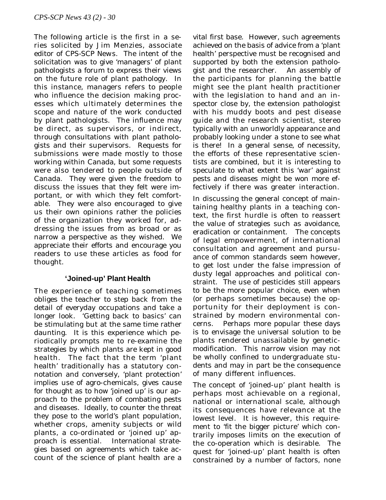The following article is the first in a series solicited by Jim Menzies, associate editor of *CPS-SCP News*. The intent of the solicitation was to give 'managers' of plant pathologists a forum to express their views on the future role of plant pathology. In this instance, managers refers to people who influence the decision making processes which ultimately determines the scope and nature of the work conducted by plant pathologists. The influence may be direct, as supervisors, or indirect, through consultations with plant pathologists and their supervisors. Requests for submissions were made mostly to those working within Canada, but some requests were also tendered to people outside of Canada. They were given the freedom to discuss the issues that they felt were important, or with which they felt comfortable. They were also encouraged to give us their own opinions rather the policies of the organization they worked for, addressing the issues from as broad or as narrow a perspective as they wished. We appreciate their efforts and encourage you readers to use these articles as food for thought.

## **'Joined-up' Plant Health**

The experience of teaching sometimes obliges the teacher to step back from the detail of everyday occupations and take a longer look. 'Getting back to basics' can be stimulating but at the same time rather daunting. It is this experience which periodically prompts me to re-examine the strategies by which plants are kept in good health. The fact that the term 'plant health' traditionally has a statutory connotation and conversely, 'plant protection' implies use of agro-chemicals, gives cause for thought as to how 'joined up' is our approach to the problem of combating pests and diseases. Ideally, to counter the threat they pose to the world's plant population, whether crops, amenity subjects or wild plants, a co-ordinated or 'joined up' approach is essential. International strategies based on agreements which take account of the science of plant health are a

vital first base. However, such agreements achieved on the basis of advice from a 'plant health' perspective must be recognised and supported by both the extension pathologist and the researcher. An assembly of the participants for planning the battle might see the plant health practitioner with the legislation to hand and an inspector close by, the extension pathologist with his muddy boots and pest disease guide and the research scientist, stereo typically with an unworldly appearance and probably looking under a stone to see what is there! In a general sense, of necessity, the efforts of these representative scientists are combined, but it is interesting to speculate to what extent this 'war' against pests and diseases might be won more effectively if there was greater interaction.

In discussing the general concept of maintaining healthy plants in a teaching context, the first hurdle is often to reassert the value of strategies such as avoidance, eradication or containment. The concepts of legal empowerment, of international consultation and agreement and pursuance of common standards seem however, to get lost under the false impression of dusty legal approaches and political constraint. The use of pesticides still appears to be the more popular choice, even when (or perhaps sometimes because) the opportunity for their deployment is constrained by modern environmental concerns. Perhaps more popular these days is to envisage the universal solution to be plants rendered unassailable by geneticmodification. This narrow vision may not be wholly confined to undergraduate students and may in part be the consequence of many different influences.

The concept of 'joined-up' plant health is perhaps most achievable on a regional, national or international scale, although its consequences have relevance at the lowest level. It is however, this requirement to 'fit the bigger picture' which contrarily imposes limits on the execution of the co-operation which is desirable. The quest for 'joined-up' plant health is often constrained by a number of factors, none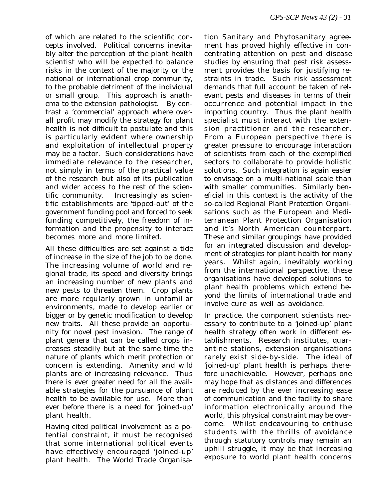of which are related to the scientific concepts involved. Political concerns inevitably alter the perception of the plant health scientist who will be expected to balance risks in the context of the majority or the national or international crop community, to the probable detriment of the individual or small group. This approach is anathema to the extension pathologist. By contrast a 'commercial' approach where overall profit may modify the strategy for plant health is not difficult to postulate and this is particularly evident where ownership and exploitation of intellectual property may be a factor. Such considerations have immediate relevance to the researcher, not simply in terms of the practical value of the research but also of its publication and wider access to the rest of the scientific community. Increasingly as scientific establishments are 'tipped-out' of the government funding pool and forced to seek funding competitively, the freedom of information and the propensity to interact becomes more and more limited.

All these difficulties are set against a tide of increase in the size of the job to be done. The increasing volume of world and regional trade, its speed and diversity brings an increasing number of new plants and new pests to threaten them. Crop plants are more regularly grown in unfamiliar environments, made to develop earlier or bigger or by genetic modification to develop new traits. All these provide an opportunity for novel pest invasion. The range of plant genera that can be called crops increases steadily but at the same time the nature of plants which merit protection or concern is extending. Amenity and wild plants are of increasing relevance. Thus there is ever greater need for all the available strategies for the pursuance of plant health to be available for use. More than ever before there is a need for 'joined-up' plant health.

Having cited political involvement as a potential constraint, it must be recognised that some international political events have effectively encouraged 'joined-up' plant health. The World Trade Organisa-

tion Sanitary and Phytosanitary agreement has proved highly effective in concentrating attention on pest and disease studies by ensuring that pest risk assessment provides the basis for justifying restraints in trade. Such risk assessment demands that full account be taken of relevant pests and diseases in terms of their occurrence and potential impact in the importing country. Thus the plant health specialist must interact with the extension practitioner and the researcher. From a European perspective there is greater pressure to encourage interaction of scientists from each of the exemplified sectors to collaborate to provide holistic solutions. Such integration is again easier to envisage on a multi-national scale than with smaller communities. Similarly beneficial in this context is the activity of the so-called Regional Plant Protection Organisations such as the European and Mediterranean Plant Protection Organisation and it's North American counterpart. These and similar groupings have provided for an integrated discussion and development of strategies for plant health for many years. Whilst again, inevitably working from the international perspective, these organisations have developed solutions to plant health problems which extend beyond the limits of international trade and involve cure as well as avoidance.

In practice, the component scientists necessary to contribute to a 'joined-up' plant health strategy often work in different establishments. Research institutes, quarantine stations, extension organisations rarely exist side-by-side. The ideal of 'joined-up' plant health is perhaps therefore unachievable. However, perhaps one may hope that as distances and differences are reduced by the ever increasing ease of communication and the facility to share information electronically around the world, this physical constraint may be overcome. Whilst endeavouring to enthuse students with the thrills of avoidance through statutory controls may remain an uphill struggle, it may be that increasing exposure to world plant health concerns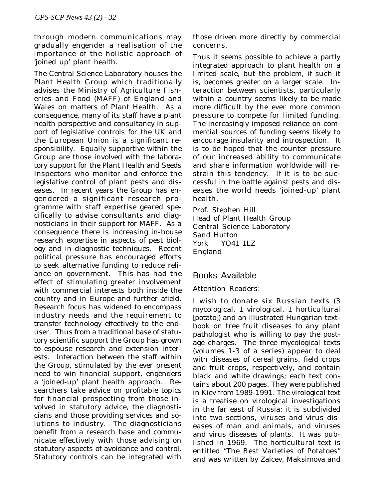through modern communications may gradually engender a realisation of the importance of the holistic approach of 'joined up' plant health.

The Central Science Laboratory houses the Plant Health Group which traditionally advises the Ministry of Agriculture Fisheries and Food (MAFF) of England and Wales on matters of Plant Health. As a consequence, many of its staff have a plant health perspective and consultancy in support of legislative controls for the UK and the European Union is a significant responsibility. Equally supportive within the Group are those involved with the laboratory support for the Plant Health and Seeds Inspectors who monitor and enforce the legislative control of plant pests and diseases. In recent years the Group has engendered a significant research programme with staff expertise geared specifically to advise consultants and diagnosticians in their support for MAFF. As a consequence there is increasing in-house research expertise in aspects of pest biology and in diagnostic techniques. Recent political pressure has encouraged efforts to seek alternative funding to reduce reliance on government. This has had the effect of stimulating greater involvement with commercial interests both inside the country and in Europe and further afield. Research focus has widened to encompass industry needs and the requirement to transfer technology effectively to the enduser. Thus from a traditional base of statutory scientific support the Group has grown to espouse research and extension interests. Interaction between the staff within the Group, stimulated by the ever present need to win financial support, engenders a 'joined-up' plant health approach. Researchers take advice on profitable topics for financial prospecting from those involved in statutory advice, the diagnosticians and those providing services and solutions to industry. The diagnosticians benefit from a research base and communicate effectively with those advising on statutory aspects of avoidance and control. Statutory controls can be integrated with those driven more directly by commercial concerns.

Thus it seems possible to achieve a partly integrated approach to plant health on a limited scale, but the problem, if such it is, becomes greater on a larger scale. Interaction between scientists, particularly within a country seems likely to be made more difficult by the ever more common pressure to compete for limited funding. The increasingly imposed reliance on commercial sources of funding seems likely to encourage insularity and introspection. It is to be hoped that the counter pressure of our increased ability to communicate and share information worldwide will restrain this tendency. If it is to be successful in the battle against pests and diseases the world needs 'joined-up' plant health.

Prof. Stephen Hill Head of Plant Health Group Central Science Laboratory Sand Hutton York YO41 1LZ England

# Books Available

#### Attention Readers:

I wish to donate six Russian texts (3 mycological, 1 virological, 1 horticultural [potato]) and an illustrated Hungarian textbook on tree fruit diseases to any plant pathologist who is willing to pay the postage charges. The three mycological texts (volumes 1-3 of a series) appear to deal with diseases of cereal grains, field crops and fruit crops, respectively, and contain black and white drawings; each text contains about 200 pages. They were published in Kiev from 1989-1991. The virological text is a treatise on virological investigations in the far east of Russia; it is subdivided into two sections, viruses and virus diseases of man and animals, and viruses and virus diseases of plants. It was published in 1969. The horticultural text is entitled "The Best Varieties of Potatoes" and was written by Zaicev, Maksimova and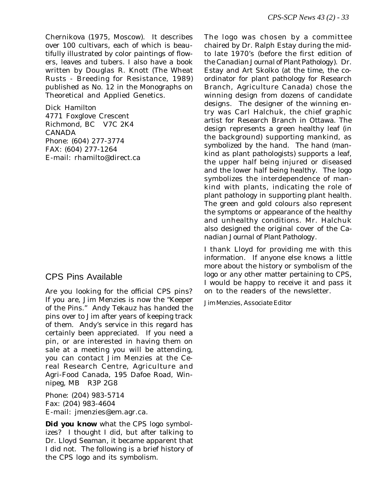Chernikova (1975, Moscow). It describes over 100 cultivars, each of which is beautifully illustrated by color paintings of flowers, leaves and tubers. I also have a book written by Douglas R. Knott (The Wheat Rusts - Breeding for Resistance, 1989) published as No. 12 in the Monographs on Theoretical and Applied Genetics.

Dick Hamilton 4771 Foxglove Crescent Richmond, BC V7C 2K4 CANADA Phone: (604) 277-3774 FAX: (604) 277-1264 E-mail: rhamilto@direct.ca

# CPS Pins Available

Are you looking for the official CPS pins? If you are, Jim Menzies is now the "Keeper of the Pins." Andy Tekauz has handed the pins over to Jim after years of keeping track of them. Andy's service in this regard has certainly been appreciated. If you need a pin, or are interested in having them on sale at a meeting you will be attending, you can contact Jim Menzies at the Cereal Research Centre, Agriculture and Agri-Food Canada, 195 Dafoe Road, Winnipeg, MB R3P 2G8

Phone: (204) 983-5714 Fax: (204) 983-4604 E-mail: jmenzies@em.agr.ca.

*Did you know* what the CPS logo symbolizes? I thought I did, but after talking to Dr. Lloyd Seaman, it became apparent that I did not. The following is a brief history of the CPS logo and its symbolism.

The logo was chosen by a committee chaired by Dr. Ralph Estay during the midto late 1970's (before the first edition of the *Canadian Journal of Plant Pathology*). Dr. Estay and Art Skolko (at the time, the coordinator for plant pathology for Research Branch, Agriculture Canada) chose the winning design from dozens of candidate designs. The designer of the winning entry was Carl Halchuk, the chief graphic artist for Research Branch in Ottawa. The design represents a green healthy leaf (in the background) supporting mankind, as symbolized by the hand. The hand (mankind as plant pathologists) supports a leaf, the upper half being injured or diseased and the lower half being healthy. The logo symbolizes the interdependence of mankind with plants, indicating the role of plant pathology in supporting plant health. The green and gold colours also represent the symptoms or appearance of the healthy and unhealthy conditions. Mr. Halchuk also designed the original cover of the *Canadian Journal of Plant Pathology*.

I thank Lloyd for providing me with this information. If anyone else knows a little more about the history or symbolism of the logo or any other matter pertaining to CPS, I would be happy to receive it and pass it on to the readers of the newsletter.

*Jim Menzies, Associate Editor*